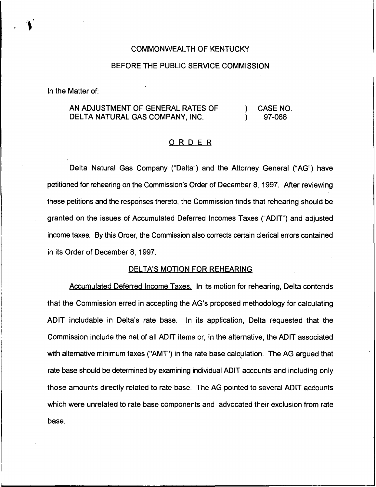# COMMONWEALTH OF KENTUCKY

# BEFORE THE PUBLIC SERVICE COMMISSION

In the Matter of:

#### AN ADJUSTMENT OF GENERAL RATES OF DELTA NATURAL GAS COMPANY, INC. ) CASE NO. ) 97-066

# ORDER

Delta Natural Gas Company ("Delta") and the Attorney General ("AG") have petitioned for rehearing on the Commission's Order of December 8, 1997. After reviewing these petitions and the responses thereto, the Commission finds that rehearing should be granted on the issues of Accumulated Deferred Incomes Taxes ("ADIT") and adjusted income taxes. By this Order, the Commission also corrects certain clerical errors contained in its Order of December 8, 1997.

### DELTA'S MOTION FOR REHEARING

Accumulated Deferred Income Taxes. In its motion for rehearing, Delta contends that the Commission erred in accepting the AG's proposed methodology for calculating ADIT includable in Delta's rate base. In its application, Delta requested that the Commission include the net of all ADIT items or, in the alternative, the ADIT associated with alternative minimum taxes ("AMT") in the rate base calculation. The AG argued that rate base should be determined by examining individual ADIT accounts and including only those amounts directly related to rate base. The AG pointed to several ADIT accounts which were unrelated to rate base components and advocated their exclusion from rate base.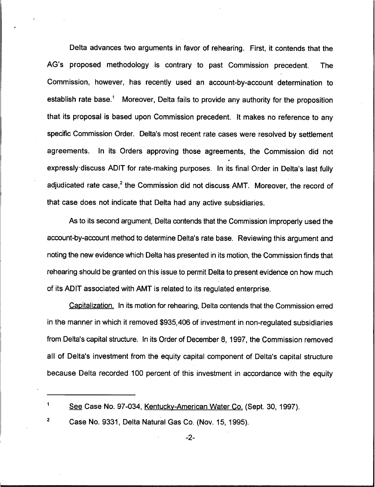Delta advances two arguments in favor of rehearing. First, it contends that the AG's proposed methodology is contrary to past Commission precedent. The Commission, however, has recently used an account-by-account determination to establish rate base.<sup>1</sup> Moreover, Delta fails to provide any authority for the proposition that its proposal is based upon Commission precedent. It makes no reference to any specific Commission Order. Delta's most recent rate cases were resolved by settlement agreements. In its Orders approving those agreements, the Commission did not O expressly. discuss ADIT for rate-making purposes. In its final Order in Delta's last fully adjudicated rate case,<sup>2</sup> the Commission did not discuss AMT. Moreover, the record of that case does not indicate that Delta had any active subsidiaries.

As to its second argument, Delta contends that the Commission improperly used the account-by-account method to determine Delta's rate base. Reviewing this argument and noting the new evidence which Delta has presented in its motion, the Commission finds that rehearing should be granted on this issue to permit Delta to present evidence on how much of its ADIT associated with AMT is related to its regulated enterprise.

Capitalization. In its motion for rehearing, Delta contends that the Commission erred in the manner in which it removed \$935,406 of investment in non-regulated subsidiaries from Delta's capital structure. In its Order of December 8, 1997, the Commission removed all of Delta's investment from the equity capital component of Delta's capital structure because Delta recorded 100 percent of this investment in accordance with the equity

1

See Case No. 97-034, Kentuckv-American Water Co. (Sept, 30, 1997).

 $\mathbf 2$ Case No. 9331, Delta Natural Gas Co. (Nov. 15, 1995).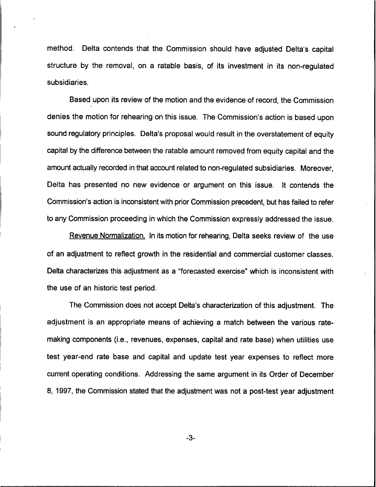method. Delta contends that the Commission should have adjusted Delta's capital structure by the removal, on a ratable basis, of its investment in its non-regulated subsidiaries.

Based upon its review of the motion and the evidence of record, the Commission denies the motion for rehearing on this issue. The Commission's action is based upon sound regulatory principles. Delta's proposal would result in the overstatement of equity capital by the difference between the ratable amount removed from equity capital and the amount actually recorded in that account related to non-regulated subsidiaries. Moreover, Delta has presented no new evidence or argument on this issue. It contends the Commission's action is inconsistent with prior Commission precedent, but has failed to refer to any Commission proceeding in which the Commission expressly addressed the issue.

Revenue Normalization. In its motion for rehearing, Delta seeks review of the use of an adjustment to reflect growth in the residential and commercial customer classes. Delta characterizes this adjustment as a "forecasted exercise" which is inconsistent with the use of an historic test period.

The Commission does not accept Delta's characterization of this adjustment. The adjustment is an appropriate means of achieving a match between the various ratemaking components (i.e., revenues, expenses, capital and rate base) when utilities use test year-end rate base and capital and update test year expenses to reflect more current operating conditions. Addressing the same argument in its Order of December 8, 1997, the Commission stated that the adjustment was not a post-test year adjustment

-3-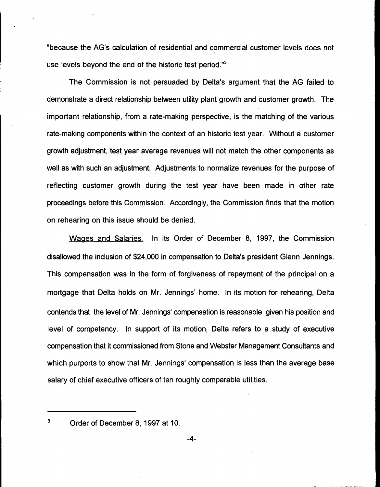"because the AG's calculation of residential and commercial customer levels does not use levels beyond the end of the historic test period."<sup>3</sup>

The Commission is not persuaded by Delta's argument that the AG failed to demonstrate a direct relationship between utility plant growth and customer growth. The important relationship, from a rate-making perspective, is the matching of the various rate-making components within the context of an historic test year. Without a customer growth adjustment, test year average revenues will not match the other components as well as with such an adjustment. Adjustments to normalize revenues for the purpose of reflecting customer growth during the test year have been made in other rate proceedings before this Commission. Accordingly, the Commission finds that the motion on rehearing on this issue should be denied.

Waaes and Salaries. In its Order of December 8, 1997, the Commission disallowed the inclusion of \$24,000 in compensation to Delta's president Glenn Jennings. This compensation was in the form of forgiveness of repayment of the principal on a mortgage that Delta holds on Mr. Jennings' home. In its motion for rehearing, Delta contends that the level of Mr. Jennings' compensation is reasonable given his position and level of competency. In support of its motion, Delta refers to a study of executive compensation that it commissioned from Stone and Webster Management Consultants and which purports to show that Mr. Jennings' compensation is less than the average base salary of chief executive officers of ten roughly comparable utilities.

 $\mathbf{3}$ Order of December 8, 1997 at 10.

-4-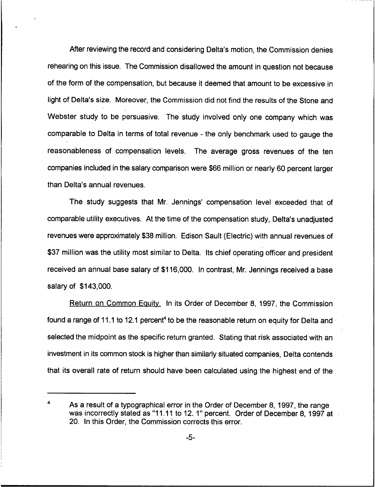After reviewing the record and considering Delta's motion, the Commission denies rehearing on this issue. The Commission disallowed the amount in question not because of the form of the compensation, but because it deemed that amount to be excessive in light of Delta's size. Moreover, the Commission did not find the results of the Stone and Webster study to be persuasive, The study involved only one company which was comparable to Delta in terms of total revenue - the only benchmark used to gauge the reasonableness of compensation levels. The average gross revenues of the ten companies included in the salary comparison were \$66 million or nearly 60 percent larger than Delta's annual revenues,

The study suggests that Mr. Jennings' compensation level exceeded that of comparable utility executives. At the time of the compensation study, Delta's unadjusted revenues were approximately \$38 million. Edison Sault (Electric) with annual revenues of \$37 million was the utility most similar to Delta. Its chief operating officer and president received an annual base salary of \$116,000. In contrast, Mr. Jennings received a base salary of \$143,000.

Return on Common Equity. In its Order of December 8, 1997, the Commission found a range of 11.1 to 12.1 percent<sup>4</sup> to be the reasonable return on equity for Delta and selected the midpoint as the specific return granted. Stating that risk associated with an investment in its common stock is higher than similarly situated companies, Delta contends that its overall rate of return should have been calculated using the highest end of the

As a result of a typographical error in the Order of December 8, 1997, the range was incorrectly stated as "11.11 to 12. 1" percent. Order of December 8, 1997 at 20. In this Order, the Commission corrects this error.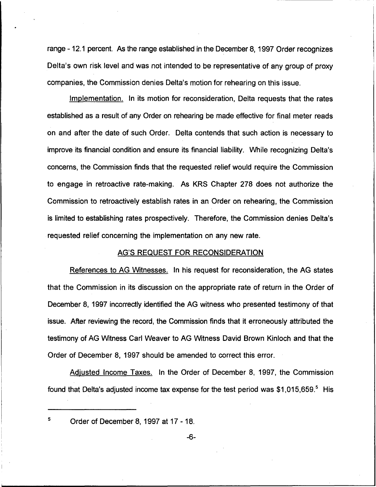range -12.1 percent. As the range established in the December 8, 1997 Order recognizes Delta's own risk level and was not intended to be representative of any group of proxy companies, the Commission denies Delta's motion for rehearing on this issue.

Implementation. In its motion for reconsideration, Delta requests that the rates established as a result of any Order on rehearing be made effective for final meter reads on and after the date of such Order. Delta contends that such action is necessary to improve its financial condition and ensure its financial liability. While recognizing Delta's concerns, the Commission finds that the requested relief would require the Commission to engage in retroactive rate-making. As KRS Chapter 278 does not authorize the Commission to retroactively establish rates in an Order on rehearing, the Commission is limited to establishing rates prospectively. Therefore, the Commission denies Delta's requested relief concerning the implementation on any new rate.

## AG'S REQUEST FOR RECONSIDERATION

References to AG Witnesses. In his request for reconsideration, the AG states that the Commission in its discussion on the appropriate rate of return in the Order of December 8, 1997 incorrectly identified the AG witness who presented testimony of that issue. After reviewing the record, the Commission finds that it erroneously attributed the testimony of AG Witness Carl Weaver to AG Witness David Brown Kinloch and that the Order of December 8, 1997 should be amended to correct this error.

Adiusted Income Taxes. In the Order of December 8, 1997, the Commission found that Delta's adjusted income tax expense for the test period was  $$1,015,659$ .<sup>5</sup> His

5

Order of December 8, 1997 at 17 - 18.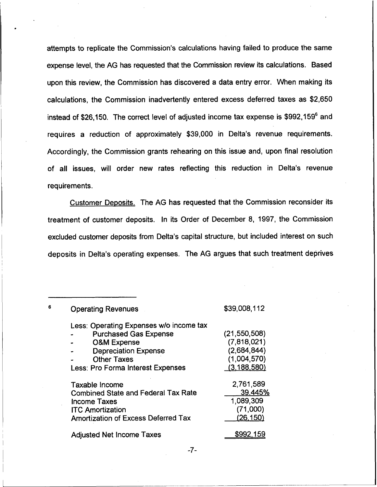attempts to replicate the Commission's calculations having failed to produce the same expense level, the AG has requested that the Commission review its calculations. Based upon this review, the Commission has discovered a data entry error. When making its calculations, the Commission inadvertently entered excess deferred taxes as \$2,650 instead of \$26,150. The correct level of adjusted income tax expense is \$992,159<sup>6</sup> and requires a reduction of approximately \$39,000 in Delta's revenue requirements. Accordingly, the Commission grants rehearing on this issue and, upon final resolution of all issues, will order new rates reflecting this reduction in Delta's revenue requirements.

Customer Deposits. The AG has requested that the Commission reconsider its treatment of customer deposits. In its Order of December 8, 1997, the Commission excluded customer deposits from Delta's capital structure, but included interest on such deposits in Delta's operating expenses. The AG argues that such treatment deprives

| <b>Operating Revenues</b>                  | \$39,008,112   |
|--------------------------------------------|----------------|
| Less: Operating Expenses w/o income tax    |                |
| <b>Purchased Gas Expense</b>               | (21, 550, 508) |
| <b>O&amp;M Expense</b>                     | (7,818,021)    |
| <b>Depreciation Expense</b><br>$\bullet$   | (2,684,844)    |
| <b>Other Taxes</b>                         | (1,004,570)    |
| <b>Less: Pro Forma Interest Expenses</b>   | (3, 188, 580)  |
| Taxable Income                             | 2,761,589      |
| <b>Combined State and Federal Tax Rate</b> | 39.445%        |
| <b>Income Taxes</b>                        | 1,089,309      |
| <b>ITC Amortization</b>                    | (71,000)       |
| <b>Amortization of Excess Deferred Tax</b> | (26.150)       |
| <b>Adjusted Net Income Taxes</b>           | \$992.         |

6

 $-7-$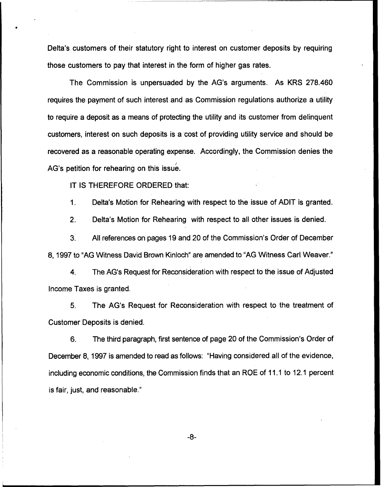Delta's customers of their statutory right to interest on customer deposits by requiring those customers to pay that interest in the form of higher gas rates.

The Commission is unpersuaded by the AG's arguments. As KRS 278.460 requires the payment of such interest and as Commission regulations authorize a utility to require a deposit as a means of protecting the utility and its customer from delinquent customers, interest on such deposits is a cost of providing utility service and should be recovered as a reasonable operating expense. Accordingly, the Commission denies the AG's petition for rehearing on this issue.

IT IS THEREFORE ORDERED that:

1. Delta's Motion for Rehearing with respect to the issue of ADIT is granted.

2. Delta's Motion for Rehearing with respect to all other issues is denied.

3, All references on pages 19 and 20 of the Commission's Order of December 8, 1997 to "AG Witness David Brown Kinloch" are amended to "AG Witness Carl Weaver."

4. The AG's Request for Reconsideration with respect to the issue of Adjusted Income Taxes is granted.

5. The AG's Request for Reconsideration with respect to the treatment of Customer Deposits is denied.

6. The third paragraph, first sentence of page 20 of the Commission's Order of December 8, 1997 is amended to read as follows: "Having considered all of the evidence, including economic conditions, the Commission finds that an ROE of 11.1 to 12.1 percent is fair, just, and reasonable."

 $-8-$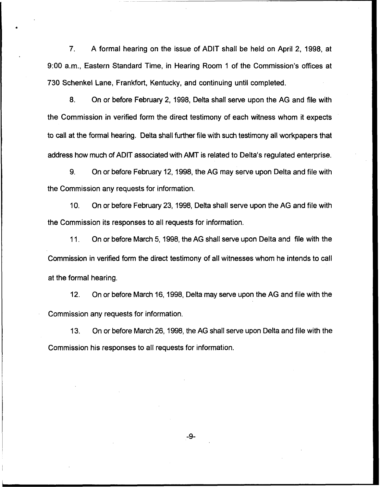7. A formal hearing on the issue of ADIT shall be held on April 2, 1998, at 9:00 a.m., Eastern Standard Time, in Hearing Room <sup>1</sup> of the Commission's offices at 730 Schenkel Lane, Frankfort, Kentucky, and continuing until completed.

8. On or before February 2, 1998, Delta shall serve upon the AG and file with the Commission in verified form the direct testimony of each witness whom it expects to call at the formal hearing. Delta shall further file with such testimony all workpapers that address how much of ADIT associated with AMT is related to Delta's regulated enterprise.

9. On or before February 12, 1998, the AG may serve upon Delta and file with the Commission any requests for information.

10. On or before February 23, 1998, Delta shall serve upon the AG and file with the Commission its responses to all requests for information.

11. On or before March 5, 1998, the AG shall serve upon Delta and file with the Commission in verified form the direct testimony of all witnesses whom he intends to call at the formal hearing.

12. On or before March 16, 1998, Delta may serve upon the AG and file with the Commission any requests for information.

13. On or before March 26, 1998, the AG shall serve upon Delta and file with the Commission his responses to all requests for information.

 $-9-$